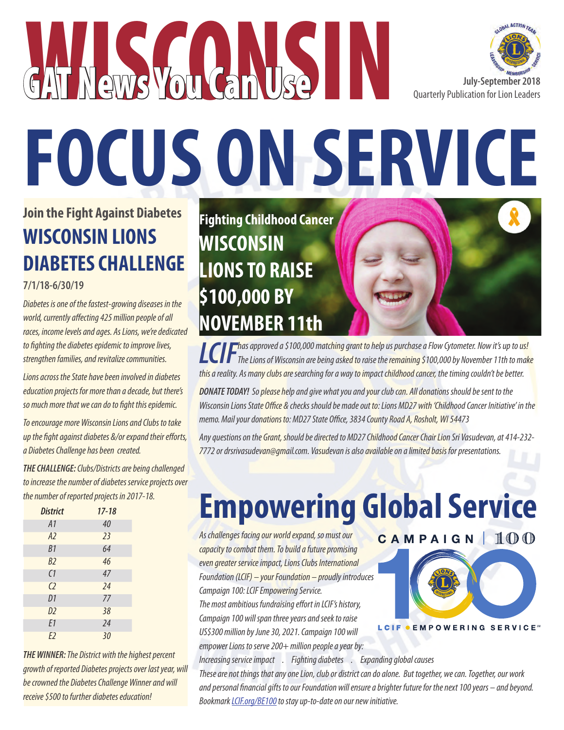



# **FOCUS ON SERVICE**

## **Join the Fight Against Diabetes WISCONSIN LIONS DIABETES CHALLENGE**

**7/1/18-6/30/19**

*Diabetes is one of the fastest-growing diseases in the world, currently affecting 425 million people of all races, income levels and ages. As Lions, we're dedicated to fighting the diabetes epidemic to improve lives, strengthen families, and revitalize communities.* 

*Lions across the State have been involved in diabetes education projects for more than a decade, but there's so much more that we can do to fight this epidemic.* 

*To encourage more Wisconsin Lions and Clubs to take up the fight against diabetes &/or expand their efforts, a Diabetes Challenge has been created.* 

*THE CHALLENGE: Clubs/Districts are being challenged to increase the number of diabetes service projects over the number of reported projects in 2017-18.*

| <b>District</b> | $17 - 18$ |
|-----------------|-----------|
| A1              | 40        |
| A2              | 23        |
| B1              | 64        |
| B2              | 46        |
| $\overline{C}$  | 47        |
| C <sub>2</sub>  | 24        |
| D1              | 77        |
| D <sub>2</sub>  | 38        |
| E1              | 24        |
| E <sub>2</sub>  | 30        |

*THE WINNER: The District with the highest percent growth of reported Diabetes projects over last year, will be crowned the Diabetes Challenge Winner and will receive \$500 to further diabetes education!*

**Fighting Childhood Cancer WISCONSIN LIONS TO RAISE \$100,000 BY NOVEMBER 11th** 

**LCIF** *has approved a \$100,000 matching grant to help us purchase a Flow Cytometer. Now it's up to us! The Lions of Wisconsin are being asked to raise the remaining \$100,000 by November 11th to make this a reality. As many clubs are searching for a way to impact childhood cancer, the timing couldn't be better.*

*DONATE TODAY! So please help and give what you and your club can. All donations should be sent to the Wisconsin Lions State Office & checks should be made out to: Lions MD27 with 'Childhood Cancer Initiative' in the memo. Mail your donations to: MD27 State Office, 3834 County Road A, Rosholt, WI 54473*

*Any questions on the Grant, should be directed to MD27 Childhood Cancer Chair Lion Sri Vasudevan, at 414-232- 7772 or drsrivasudevan@gmail.com. Vasudevan is also available on a limited basis for presentations.* 

# **Empowering Global Service**

*As challenges facing our world expand, so must our capacity to combat them. To build a future promising even greater service impact, Lions Clubs International Foundation (LCIF) – your Foundation – proudly introduces Campaign 100: LCIF Empowering Service. The most ambitious fundraising effort in LCIF's history, Campaign 100 will span three years and seek to raise US\$300 million by June 30, 2021. Campaign 100 will empower Lions to serve 200+ million people a year by:*



*Increasing service impact . Fighting diabetes . Expanding global causes*

*These are not things that any one Lion, club or district can do alone. But together, we can. Together, our work and personal financial gifts to our Foundation will ensure a brighter future for the next 100 years – and beyond. Bookmark LCIF.org/BE100 to stay up-to-date on our new initiative.*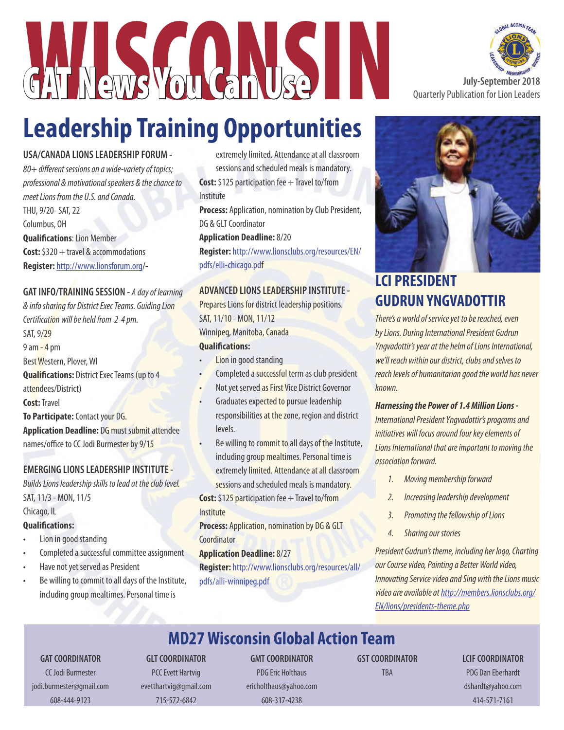

# **Leadership Training Opportunities**

#### **USA/CANADA LIONS LEADERSHIP FORUM -**

*80+ different sessions on a wide-variety of topics; professional & motivational speakers & the chance to meet Lions from the U.S. and Canada.* THU, 9/20- SAT, 22 Columbus, OH **Qualifications**: Lion Member **Cost:** \$320 + travel & accommodations **Register:** http://www.lionsforum.org/-

#### **GAT INFO/TRAINING SESSION -** *A day of learning*

*& info sharing for District Exec Teams. Guiding Lion Certification will be held from 2-4 pm.* SAT, 9/29  $9$  am  $-$  4 pm Best Western, Plover, WI **Qualifications:** District Exec Teams (up to 4 attendees/District) **Cost:** Travel **To Participate:** Contact your DG. **Application Deadline:** DG must submit attendee names/office to CC Jodi Burmester by 9/15

#### **EMERGING LIONS LEADERSHIP INSTITUTE -**

*Builds Lions leadership skills to lead at the club level.*  SAT, 11/3 - MON, 11/5

#### Chicago, IL

#### **Qualifications:**

- Lion in good standing
- Completed a successful committee assignment
- Have not yet served as President
- Be willing to commit to all days of the Institute, including group mealtimes. Personal time is

extremely limited. Attendance at all classroom sessions and scheduled meals is mandatory. **Cost:** \$125 participation fee + Travel to/from

Institute

**Process:** Application, nomination by Club President, DG & GLT Coordinator

**Application Deadline:** 8/20

**Register:** http://www.lionsclubs.org/resources/EN/ pdfs/elli-chicago.pdf

#### **ADVANCED LIONS LEADERSHIP INSTITUTE -**

Prepares Lions for district leadership positions. SAT, 11/10 - MON, 11/12 Winnipeg, Manitoba, Canada

#### **Qualifications:**

- **Lion in good standing**
- Completed a successful term as club president
- Not yet served as First Vice District Governor
- Graduates expected to pursue leadership responsibilities at the zone, region and district levels.
- Be willing to commit to all days of the Institute, including group mealtimes. Personal time is extremely limited. Attendance at all classroom sessions and scheduled meals is mandatory.

**Cost:** \$125 participation fee + Travel to/from **Institute** 

**Process: Application, nomination by DG & GLT Coordinator** 

#### **Application Deadline:** 8/27

**Register:** http://www.lionsclubs.org/resources/all/ pdfs/alli-winnipeg.pdf





## **LCI PRESIDENT GUDRUN YNGVADOTTIR**

*There's a world of service yet to be reached, even by Lions. During International President Gudrun Yngvadottir's year at the helm of Lions International, we'll reach within our district, clubs and selves to reach levels of humanitarian good the world has never known.*

#### *Harnessing the Power of 1.4 Million Lions -*

*International President Yngvadottir's programs and initiatives will focus around four key elements of Lions International that are important to moving the association forward.*

- *1. Moving membership forward*
- *2. Increasing leadership development*
- *3. Promoting the fellowship of Lions*
- *4. Sharing our stories*

*President Gudrun's theme, including her logo, Charting our Course video, Painting a Better World video, Innovating Service video and Sing with the Lions music video are available at http://members.lionsclubs.org/ EN/lions/presidents-theme.php*

## **MD27 Wisconsin Global Action Team**

#### **GAT COORDINATOR**

CC Jodi Burmester jodi.burmester@gmail.com 608-444-9123

## **GLT COORDINATOR**

PCC Evett Hartvig evetthartvig@gmail.com 715-572-6842

**GMT COORDINATOR** PDG Eric Holthaus ericholthaus@yahoo.com 608-317-4238

**GST COORDINATOR**

TBA

**LCIF COORDINATOR** PDG Dan Eberhardt dshardt@yahoo.com 414-571-7161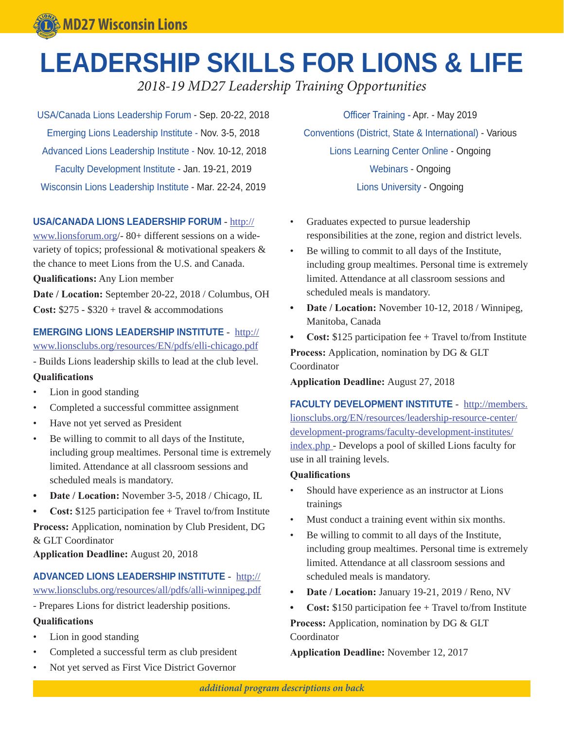## **LEADERSHIP SKILLS FOR LIONS & LIFE**

*2018-19 MD27 Leadership Training Opportunities*

USA/Canada Lions Leadership Forum - Sep. 20-22, 2018 Emerging Lions Leadership Institute - Nov. 3-5, 2018 Advanced Lions Leadership Institute - Nov. 10-12, 2018 Faculty Development Institute - Jan. 19-21, 2019 Wisconsin Lions Leadership Institute - Mar. 22-24, 2019

#### **USA/CANADA LIONS LEADERSHIP FORUM** - http://

www.lionsforum.org/- 80+ different sessions on a widevariety of topics; professional & motivational speakers & the chance to meet Lions from the U.S. and Canada. **Qualifications:** Any Lion member

**Date / Location:** September 20-22, 2018 / Columbus, OH **Cost:** \$275 - \$320 + travel & accommodations

#### **EMERGING LIONS LEADERSHIP INSTITUTE** - http://

www.lionsclubs.org/resources/EN/pdfs/elli-chicago.pdf

- Builds Lions leadership skills to lead at the club level.

#### **Qualifications**

- Lion in good standing
- Completed a successful committee assignment
- Have not yet served as President
- Be willing to commit to all days of the Institute, including group mealtimes. Personal time is extremely limited. Attendance at all classroom sessions and scheduled meals is mandatory.
- **• Date / Location:** November 3-5, 2018 / Chicago, IL
- **• Cost:** \$125 participation fee + Travel to/from Institute

**Process:** Application, nomination by Club President, DG & GLT Coordinator

**Application Deadline:** August 20, 2018

#### **ADVANCED LIONS LEADERSHIP INSTITUTE** - http://

www.lionsclubs.org/resources/all/pdfs/alli-winnipeg.pdf

- Prepares Lions for district leadership positions.

#### **Qualifications**

- Lion in good standing
- Completed a successful term as club president
- Not yet served as First Vice District Governor

Officer Training - Apr. - May 2019 Conventions (District, State & International) - Various Lions Learning Center Online - Ongoing Webinars - Ongoing Lions University - Ongoing

- Graduates expected to pursue leadership responsibilities at the zone, region and district levels.
- Be willing to commit to all days of the Institute, including group mealtimes. Personal time is extremely limited. Attendance at all classroom sessions and scheduled meals is mandatory.
- **• Date / Location:** November 10-12, 2018 / Winnipeg, Manitoba, Canada

**• Cost:** \$125 participation fee + Travel to/from Institute **Process:** Application, nomination by DG & GLT Coordinator

**Application Deadline:** August 27, 2018

**FACULTY DEVELOPMENT INSTITUTE** - http://members. lionsclubs.org/EN/resources/leadership-resource-center/ development-programs/faculty-development-institutes/ index.php - Develops a pool of skilled Lions faculty for use in all training levels.

#### **Qualifications**

- Should have experience as an instructor at Lions trainings
- Must conduct a training event within six months.
- Be willing to commit to all days of the Institute, including group mealtimes. Personal time is extremely limited. Attendance at all classroom sessions and scheduled meals is mandatory.
- **• Date / Location:** January 19-21, 2019 / Reno, NV

**• Cost:** \$150 participation fee + Travel to/from Institute **Process:** Application, nomination by DG & GLT Coordinator

**Application Deadline:** November 12, 2017